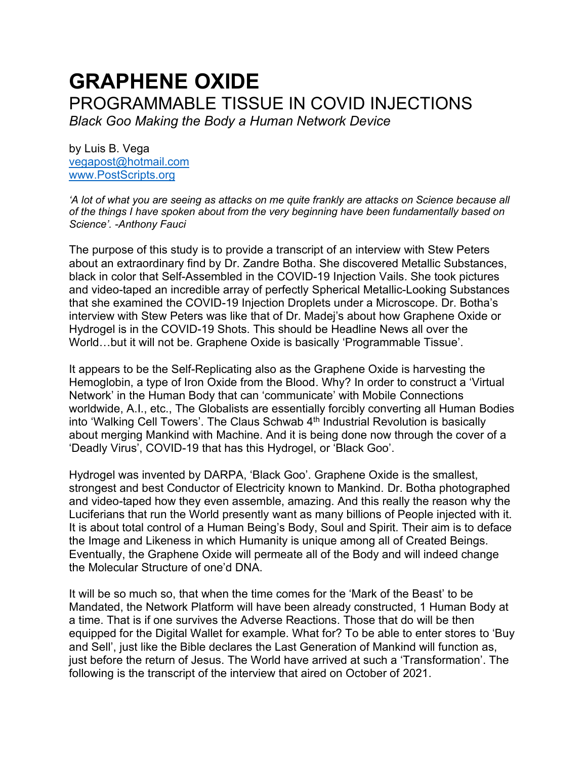# **GRAPHENE OXIDE**  PROGRAMMABLE TISSUE IN COVID INJECTIONS *Black Goo Making the Body a Human Network Device*

by Luis B. Vega [vegapost@hotmail.com](mailto:vegapost@hotmail.com) [www.PostScripts.org](http://www.postscripts.org/)

*'A lot of what you are seeing as attacks on me quite frankly are attacks on Science because all of the things I have spoken about from the very beginning have been fundamentally based on Science'. -Anthony Fauci*

The purpose of this study is to provide a transcript of an interview with Stew Peters about an extraordinary find by Dr. Zandre Botha. She discovered Metallic Substances, black in color that Self-Assembled in the COVID-19 Injection Vails. She took pictures and video-taped an incredible array of perfectly Spherical Metallic-Looking Substances that she examined the COVID-19 Injection Droplets under a Microscope. Dr. Botha's interview with Stew Peters was like that of Dr. Madej's about how Graphene Oxide or Hydrogel is in the COVID-19 Shots. This should be Headline News all over the World…but it will not be. Graphene Oxide is basically 'Programmable Tissue'.

It appears to be the Self-Replicating also as the Graphene Oxide is harvesting the Hemoglobin, a type of Iron Oxide from the Blood. Why? In order to construct a 'Virtual Network' in the Human Body that can 'communicate' with Mobile Connections worldwide, A.I., etc., The Globalists are essentially forcibly converting all Human Bodies into 'Walking Cell Towers'. The Claus Schwab 4<sup>th</sup> Industrial Revolution is basically about merging Mankind with Machine. And it is being done now through the cover of a 'Deadly Virus', COVID-19 that has this Hydrogel, or 'Black Goo'.

Hydrogel was invented by DARPA, 'Black Goo'. Graphene Oxide is the smallest, strongest and best Conductor of Electricity known to Mankind. Dr. Botha photographed and video-taped how they even assemble, amazing. And this really the reason why the Luciferians that run the World presently want as many billions of People injected with it. It is about total control of a Human Being's Body, Soul and Spirit. Their aim is to deface the Image and Likeness in which Humanity is unique among all of Created Beings. Eventually, the Graphene Oxide will permeate all of the Body and will indeed change the Molecular Structure of one'd DNA.

It will be so much so, that when the time comes for the 'Mark of the Beast' to be Mandated, the Network Platform will have been already constructed, 1 Human Body at a time. That is if one survives the Adverse Reactions. Those that do will be then equipped for the Digital Wallet for example. What for? To be able to enter stores to 'Buy and Sell', just like the Bible declares the Last Generation of Mankind will function as, just before the return of Jesus. The World have arrived at such a 'Transformation'. The following is the transcript of the interview that aired on October of 2021.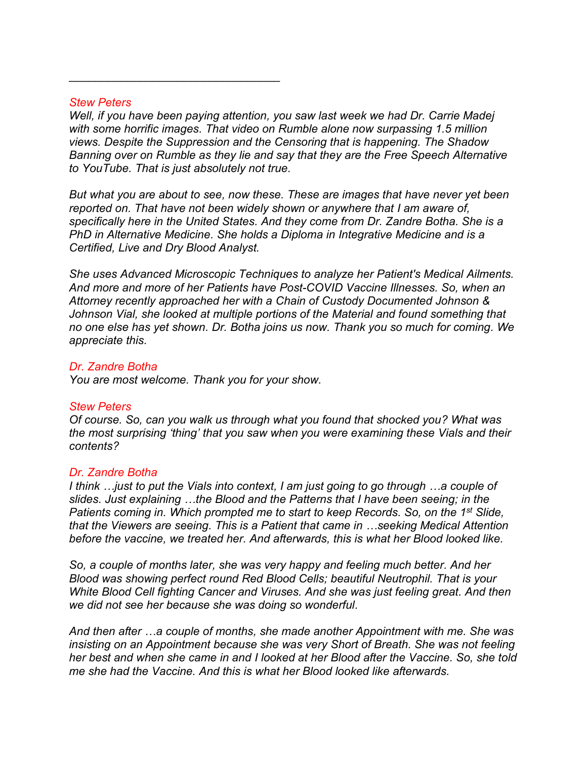#### *Stew Peters*

\_\_\_\_\_\_\_\_\_\_\_\_\_\_\_\_\_\_\_\_\_\_\_\_\_\_\_\_\_\_\_\_\_

*Well, if you have been paying attention, you saw last week we had Dr. Carrie Madej with some horrific images. That video on Rumble alone now surpassing 1.5 million views. Despite the Suppression and the Censoring that is happening. The Shadow Banning over on Rumble as they lie and say that they are the Free Speech Alternative to YouTube. That is just absolutely not true.* 

*But what you are about to see, now these. These are images that have never yet been reported on. That have not been widely shown or anywhere that I am aware of, specifically here in the United States. And they come from Dr. Zandre Botha. She is a PhD in Alternative Medicine. She holds a Diploma in Integrative Medicine and is a Certified, Live and Dry Blood Analyst.*

*She uses Advanced Microscopic Techniques to analyze her Patient's Medical Ailments. And more and more of her Patients have Post-COVID Vaccine Illnesses. So, when an Attorney recently approached her with a Chain of Custody Documented Johnson & Johnson Vial, she looked at multiple portions of the Material and found something that no one else has yet shown. Dr. Botha joins us now. Thank you so much for coming. We appreciate this.*

#### *Dr. Zandre Botha*

*You are most welcome. Thank you for your show.*

#### *Stew Peters*

*Of course. So, can you walk us through what you found that shocked you? What was the most surprising 'thing' that you saw when you were examining these Vials and their contents?*

#### *Dr. Zandre Botha*

*I think …just to put the Vials into context, I am just going to go through …a couple of slides. Just explaining …the Blood and the Patterns that I have been seeing; in the Patients coming in. Which prompted me to start to keep Records. So, on the 1<sup>st</sup> Slide, that the Viewers are seeing. This is a Patient that came in …seeking Medical Attention before the vaccine, we treated her. And afterwards, this is what her Blood looked like.*

*So, a couple of months later, she was very happy and feeling much better. And her Blood was showing perfect round Red Blood Cells; beautiful Neutrophil. That is your White Blood Cell fighting Cancer and Viruses. And she was just feeling great. And then we did not see her because she was doing so wonderful.*

*And then after …a couple of months, she made another Appointment with me. She was insisting on an Appointment because she was very Short of Breath. She was not feeling her best and when she came in and I looked at her Blood after the Vaccine. So, she told me she had the Vaccine. And this is what her Blood looked like afterwards.*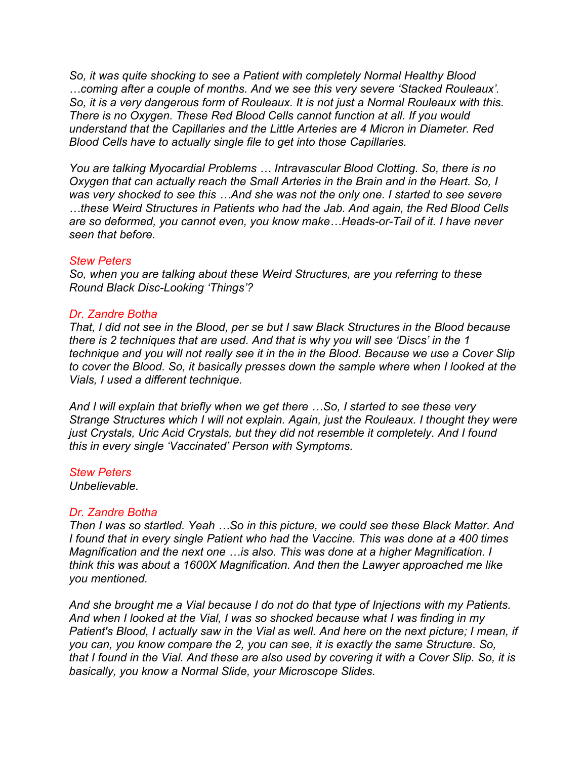*So, it was quite shocking to see a Patient with completely Normal Healthy Blood …coming after a couple of months. And we see this very severe 'Stacked Rouleaux'. So, it is a very dangerous form of Rouleaux. It is not just a Normal Rouleaux with this. There is no Oxygen. These Red Blood Cells cannot function at all. If you would understand that the Capillaries and the Little Arteries are 4 Micron in Diameter. Red Blood Cells have to actually single file to get into those Capillaries.* 

*You are talking Myocardial Problems … Intravascular Blood Clotting. So, there is no Oxygen that can actually reach the Small Arteries in the Brain and in the Heart. So, I was very shocked to see this …And she was not the only one. I started to see severe …these Weird Structures in Patients who had the Jab. And again, the Red Blood Cells are so deformed, you cannot even, you know make…Heads-or-Tail of it. I have never seen that before.* 

#### *Stew Peters*

*So, when you are talking about these Weird Structures, are you referring to these Round Black Disc-Looking 'Things'?*

#### *Dr. Zandre Botha*

*That, I did not see in the Blood, per se but I saw Black Structures in the Blood because there is 2 techniques that are used. And that is why you will see 'Discs' in the 1 technique and you will not really see it in the in the Blood. Because we use a Cover Slip to cover the Blood. So, it basically presses down the sample where when I looked at the Vials, I used a different technique.*

*And I will explain that briefly when we get there …So, I started to see these very Strange Structures which I will not explain. Again, just the Rouleaux. I thought they were just Crystals, Uric Acid Crystals, but they did not resemble it completely. And I found this in every single 'Vaccinated' Person with Symptoms.* 

#### *Stew Peters*

*Unbelievable.*

#### *Dr. Zandre Botha*

*Then I was so startled. Yeah …So in this picture, we could see these Black Matter. And I found that in every single Patient who had the Vaccine. This was done at a 400 times Magnification and the next one …is also. This was done at a higher Magnification. I think this was about a 1600X Magnification. And then the Lawyer approached me like you mentioned.* 

*And she brought me a Vial because I do not do that type of Injections with my Patients. And when I looked at the Vial, I was so shocked because what I was finding in my Patient's Blood, I actually saw in the Vial as well. And here on the next picture; I mean, if you can, you know compare the 2, you can see, it is exactly the same Structure. So, that I found in the Vial. And these are also used by covering it with a Cover Slip. So, it is basically, you know a Normal Slide, your Microscope Slides.*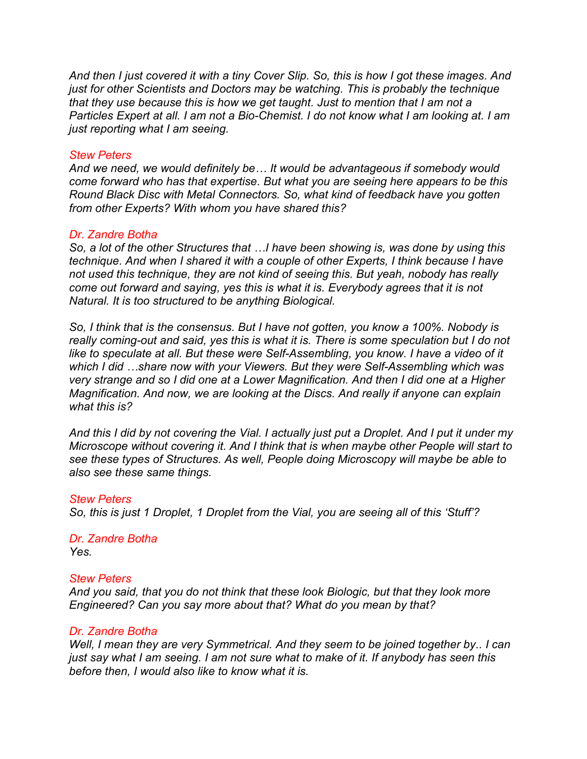*And then I just covered it with a tiny Cover Slip. So, this is how I got these images. And just for other Scientists and Doctors may be watching. This is probably the technique that they use because this is how we get taught. Just to mention that I am not a Particles Expert at all. I am not a Bio-Chemist. I do not know what I am looking at. I am just reporting what I am seeing.* 

## *Stew Peters*

*And we need, we would definitely be… It would be advantageous if somebody would come forward who has that expertise. But what you are seeing here appears to be this Round Black Disc with Metal Connectors. So, what kind of feedback have you gotten from other Experts? With whom you have shared this?*

## *Dr. Zandre Botha*

*So, a lot of the other Structures that …I have been showing is, was done by using this technique. And when I shared it with a couple of other Experts, I think because I have not used this technique, they are not kind of seeing this. But yeah, nobody has really come out forward and saying, yes this is what it is. Everybody agrees that it is not Natural. It is too structured to be anything Biological.*

*So, I think that is the consensus. But I have not gotten, you know a 100%. Nobody is really coming-out and said, yes this is what it is. There is some speculation but I do not like to speculate at all. But these were Self-Assembling, you know. I have a video of it which I did …share now with your Viewers. But they were Self-Assembling which was very strange and so I did one at a Lower Magnification. And then I did one at a Higher Magnification. And now, we are looking at the Discs. And really if anyone can explain what this is?*

*And this I did by not covering the Vial. I actually just put a Droplet. And I put it under my Microscope without covering it. And I think that is when maybe other People will start to see these types of Structures. As well, People doing Microscopy will maybe be able to also see these same things.* 

#### *Stew Peters*

*So, this is just 1 Droplet, 1 Droplet from the Vial, you are seeing all of this 'Stuff'?*

#### *Dr. Zandre Botha Yes.*

#### *Stew Peters*

*And you said, that you do not think that these look Biologic, but that they look more Engineered? Can you say more about that? What do you mean by that?*

#### *Dr. Zandre Botha*

*Well, I mean they are very Symmetrical. And they seem to be joined together by.. I can just say what I am seeing. I am not sure what to make of it. If anybody has seen this before then, I would also like to know what it is.*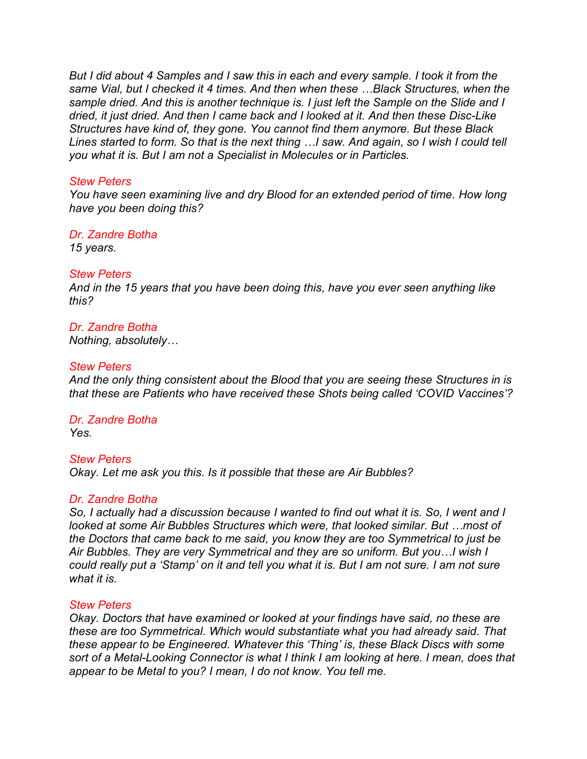*But I did about 4 Samples and I saw this in each and every sample. I took it from the same Vial, but I checked it 4 times. And then when these …Black Structures, when the sample dried. And this is another technique is. I just left the Sample on the Slide and I dried, it just dried. And then I came back and I looked at it. And then these Disc-Like Structures have kind of, they gone. You cannot find them anymore. But these Black Lines started to form. So that is the next thing …I saw. And again, so I wish I could tell you what it is. But I am not a Specialist in Molecules or in Particles.*

#### *Stew Peters*

*You have seen examining live and dry Blood for an extended period of time. How long have you been doing this?*

*Dr. Zandre Botha*

*15 years.* 

## *Stew Peters*

*And in the 15 years that you have been doing this, have you ever seen anything like this?*

#### *Dr. Zandre Botha Nothing, absolutely…*

#### *Stew Peters*

*And the only thing consistent about the Blood that you are seeing these Structures in is that these are Patients who have received these Shots being called 'COVID Vaccines'?*

*Dr. Zandre Botha Yes.*

## *Stew Peters*

*Okay. Let me ask you this. Is it possible that these are Air Bubbles?* 

#### *Dr. Zandre Botha*

*So, I actually had a discussion because I wanted to find out what it is. So, I went and I looked at some Air Bubbles Structures which were, that looked similar. But …most of the Doctors that came back to me said, you know they are too Symmetrical to just be Air Bubbles. They are very Symmetrical and they are so uniform. But you…I wish I could really put a 'Stamp' on it and tell you what it is. But I am not sure. I am not sure what it is.*

#### *Stew Peters*

*Okay. Doctors that have examined or looked at your findings have said, no these are these are too Symmetrical. Which would substantiate what you had already said. That these appear to be Engineered. Whatever this 'Thing' is, these Black Discs with some sort of a Metal-Looking Connector is what I think I am looking at here. I mean, does that appear to be Metal to you? I mean, I do not know. You tell me.*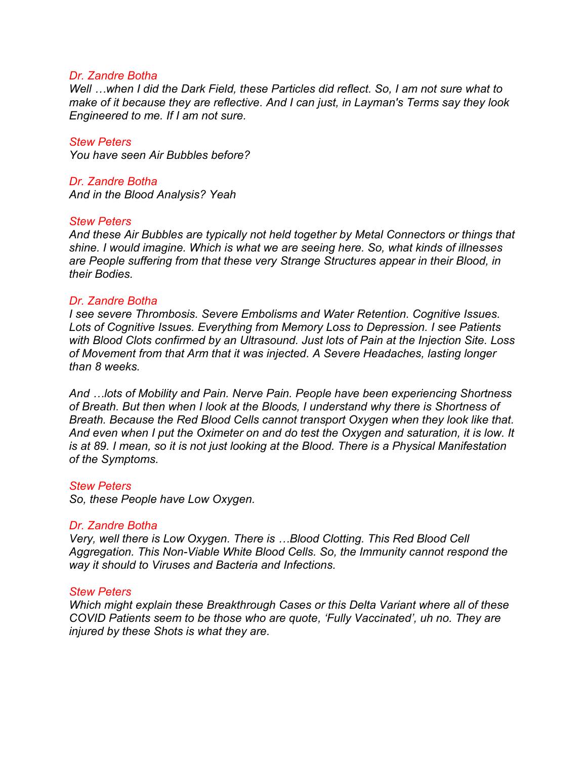#### *Dr. Zandre Botha*

*Well …when I did the Dark Field, these Particles did reflect. So, I am not sure what to make of it because they are reflective. And I can just, in Layman's Terms say they look Engineered to me. If I am not sure.*

*Stew Peters You have seen Air Bubbles before?*

*Dr. Zandre Botha And in the Blood Analysis? Yeah* 

#### *Stew Peters*

*And these Air Bubbles are typically not held together by Metal Connectors or things that shine. I would imagine. Which is what we are seeing here. So, what kinds of illnesses are People suffering from that these very Strange Structures appear in their Blood, in their Bodies.* 

#### *Dr. Zandre Botha*

*I see severe Thrombosis. Severe Embolisms and Water Retention. Cognitive Issues. Lots of Cognitive Issues. Everything from Memory Loss to Depression. I see Patients with Blood Clots confirmed by an Ultrasound. Just lots of Pain at the Injection Site. Loss of Movement from that Arm that it was injected. A Severe Headaches, lasting longer than 8 weeks.*

*And …lots of Mobility and Pain. Nerve Pain. People have been experiencing Shortness of Breath. But then when I look at the Bloods, I understand why there is Shortness of Breath. Because the Red Blood Cells cannot transport Oxygen when they look like that. And even when I put the Oximeter on and do test the Oxygen and saturation, it is low. It is at 89. I mean, so it is not just looking at the Blood. There is a Physical Manifestation of the Symptoms.* 

#### *Stew Peters*

*So, these People have Low Oxygen.* 

#### *Dr. Zandre Botha*

*Very, well there is Low Oxygen. There is …Blood Clotting. This Red Blood Cell Aggregation. This Non-Viable White Blood Cells. So, the Immunity cannot respond the way it should to Viruses and Bacteria and Infections.*

#### *Stew Peters*

*Which might explain these Breakthrough Cases or this Delta Variant where all of these COVID Patients seem to be those who are quote, 'Fully Vaccinated', uh no. They are injured by these Shots is what they are.*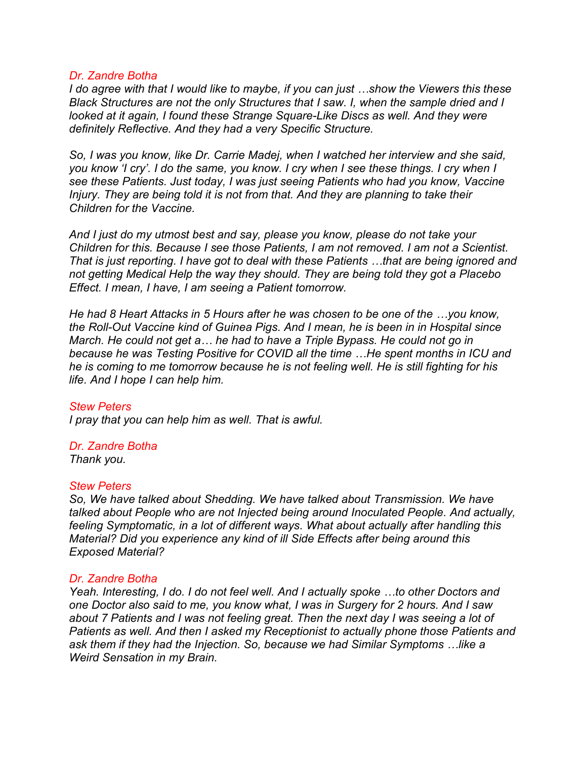#### *Dr. Zandre Botha*

*I do agree with that I would like to maybe, if you can just …show the Viewers this these Black Structures are not the only Structures that I saw. I, when the sample dried and I looked at it again, I found these Strange Square-Like Discs as well. And they were definitely Reflective. And they had a very Specific Structure.* 

*So, I was you know, like Dr. Carrie Madej, when I watched her interview and she said, you know 'I cry'. I do the same, you know. I cry when I see these things. I cry when I see these Patients. Just today, I was just seeing Patients who had you know, Vaccine Injury. They are being told it is not from that. And they are planning to take their Children for the Vaccine.* 

*And I just do my utmost best and say, please you know, please do not take your Children for this. Because I see those Patients, I am not removed. I am not a Scientist. That is just reporting. I have got to deal with these Patients …that are being ignored and not getting Medical Help the way they should. They are being told they got a Placebo Effect. I mean, I have, I am seeing a Patient tomorrow.* 

*He had 8 Heart Attacks in 5 Hours after he was chosen to be one of the …you know, the Roll-Out Vaccine kind of Guinea Pigs. And I mean, he is been in in Hospital since March. He could not get a… he had to have a Triple Bypass. He could not go in because he was Testing Positive for COVID all the time …He spent months in ICU and he is coming to me tomorrow because he is not feeling well. He is still fighting for his life. And I hope I can help him.* 

## *Stew Peters*

*I pray that you can help him as well. That is awful.* 

## *Dr. Zandre Botha*

*Thank you.*

#### *Stew Peters*

*So, We have talked about Shedding. We have talked about Transmission. We have talked about People who are not Injected being around Inoculated People. And actually, feeling Symptomatic, in a lot of different ways. What about actually after handling this Material? Did you experience any kind of ill Side Effects after being around this Exposed Material?*

#### *Dr. Zandre Botha*

*Yeah. Interesting, I do. I do not feel well. And I actually spoke …to other Doctors and one Doctor also said to me, you know what, I was in Surgery for 2 hours. And I saw about 7 Patients and I was not feeling great. Then the next day I was seeing a lot of Patients as well. And then I asked my Receptionist to actually phone those Patients and ask them if they had the Injection. So, because we had Similar Symptoms …like a Weird Sensation in my Brain.*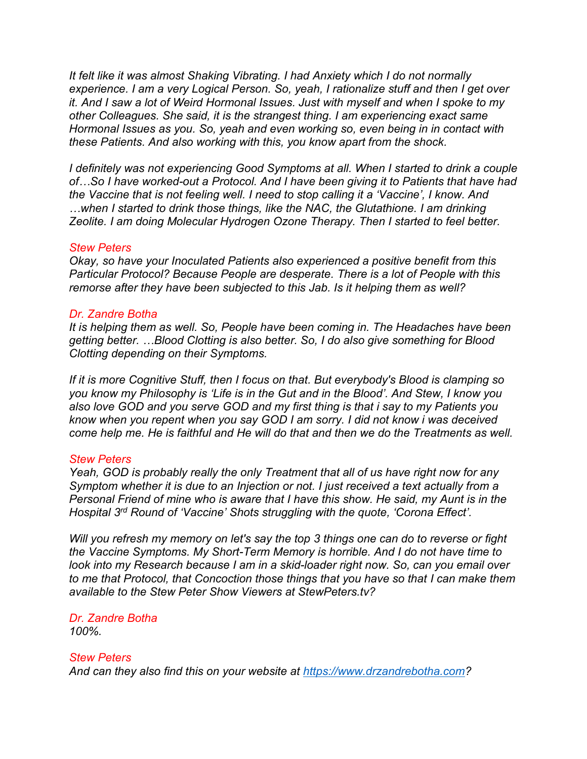*It felt like it was almost Shaking Vibrating. I had Anxiety which I do not normally experience. I am a very Logical Person. So, yeah, I rationalize stuff and then I get over it. And I saw a lot of Weird Hormonal Issues. Just with myself and when I spoke to my other Colleagues. She said, it is the strangest thing. I am experiencing exact same Hormonal Issues as you. So, yeah and even working so, even being in in contact with these Patients. And also working with this, you know apart from the shock.*

*I definitely was not experiencing Good Symptoms at all. When I started to drink a couple of…So I have worked-out a Protocol. And I have been giving it to Patients that have had the Vaccine that is not feeling well. I need to stop calling it a 'Vaccine', I know. And …when I started to drink those things, like the NAC, the Glutathione. I am drinking Zeolite. I am doing Molecular Hydrogen Ozone Therapy. Then I started to feel better.*

#### *Stew Peters*

*Okay, so have your Inoculated Patients also experienced a positive benefit from this Particular Protocol? Because People are desperate. There is a lot of People with this remorse after they have been subjected to this Jab. Is it helping them as well?*

## *Dr. Zandre Botha*

*It is helping them as well. So, People have been coming in. The Headaches have been getting better. …Blood Clotting is also better. So, I do also give something for Blood Clotting depending on their Symptoms.*

*If it is more Cognitive Stuff, then I focus on that. But everybody's Blood is clamping so you know my Philosophy is 'Life is in the Gut and in the Blood'. And Stew, I know you also love GOD and you serve GOD and my first thing is that i say to my Patients you know when you repent when you say GOD I am sorry. I did not know i was deceived come help me. He is faithful and He will do that and then we do the Treatments as well.* 

#### *Stew Peters*

*Yeah, GOD is probably really the only Treatment that all of us have right now for any Symptom whether it is due to an Injection or not. I just received a text actually from a Personal Friend of mine who is aware that I have this show. He said, my Aunt is in the Hospital 3 rd Round of 'Vaccine' Shots struggling with the quote, 'Corona Effect'.*

*Will you refresh my memory on let's say the top 3 things one can do to reverse or fight the Vaccine Symptoms. My Short-Term Memory is horrible. And I do not have time to look into my Research because I am in a skid-loader right now. So, can you email over to me that Protocol, that Concoction those things that you have so that I can make them available to the Stew Peter Show Viewers at StewPeters.tv?*

## *Dr. Zandre Botha 100%.*

#### *Stew Peters*

*And can they also find this on your website at [https://www.drzandrebotha.com?](https://www.drzandrebotha.com/)*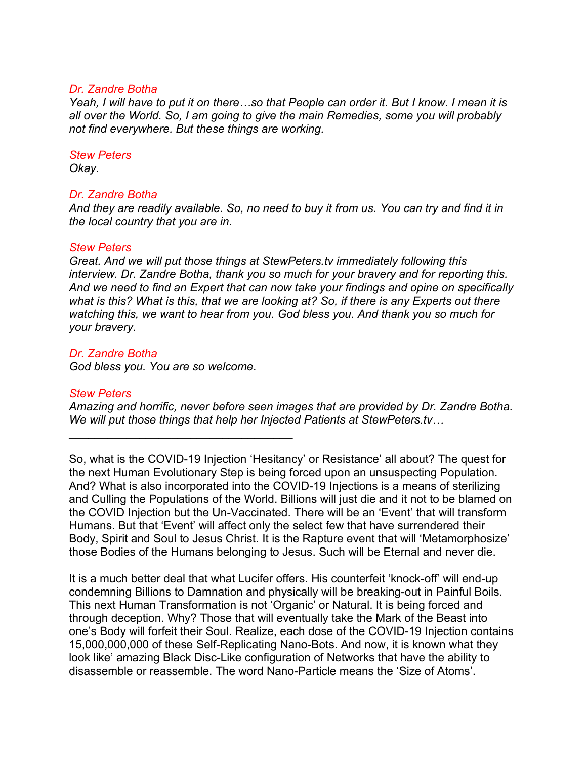#### *Dr. Zandre Botha*

*Yeah, I will have to put it on there…so that People can order it. But I know. I mean it is all over the World. So, I am going to give the main Remedies, some you will probably not find everywhere. But these things are working.*

#### *Stew Peters*

*Okay.* 

#### *Dr. Zandre Botha*

*And they are readily available. So, no need to buy it from us. You can try and find it in the local country that you are in.* 

#### *Stew Peters*

*Great. And we will put those things at StewPeters.tv immediately following this interview. Dr. Zandre Botha, thank you so much for your bravery and for reporting this. And we need to find an Expert that can now take your findings and opine on specifically what is this? What is this, that we are looking at? So, if there is any Experts out there watching this, we want to hear from you. God bless you. And thank you so much for your bravery.* 

#### *Dr. Zandre Botha*

*God bless you. You are so welcome.*

 $\mathcal{L}_\text{max}$  and  $\mathcal{L}_\text{max}$  and  $\mathcal{L}_\text{max}$  and  $\mathcal{L}_\text{max}$ 

#### *Stew Peters*

*Amazing and horrific, never before seen images that are provided by Dr. Zandre Botha. We will put those things that help her Injected Patients at StewPeters.tv…*

So, what is the COVID-19 Injection 'Hesitancy' or Resistance' all about? The quest for the next Human Evolutionary Step is being forced upon an unsuspecting Population. And? What is also incorporated into the COVID-19 Injections is a means of sterilizing and Culling the Populations of the World. Billions will just die and it not to be blamed on the COVID Injection but the Un-Vaccinated. There will be an 'Event' that will transform Humans. But that 'Event' will affect only the select few that have surrendered their Body, Spirit and Soul to Jesus Christ. It is the Rapture event that will 'Metamorphosize' those Bodies of the Humans belonging to Jesus. Such will be Eternal and never die.

It is a much better deal that what Lucifer offers. His counterfeit 'knock-off' will end-up condemning Billions to Damnation and physically will be breaking-out in Painful Boils. This next Human Transformation is not 'Organic' or Natural. It is being forced and through deception. Why? Those that will eventually take the Mark of the Beast into one's Body will forfeit their Soul. Realize, each dose of the COVID-19 Injection contains 15,000,000,000 of these Self-Replicating Nano-Bots. And now, it is known what they look like' amazing Black Disc-Like configuration of Networks that have the ability to disassemble or reassemble. The word Nano-Particle means the 'Size of Atoms'.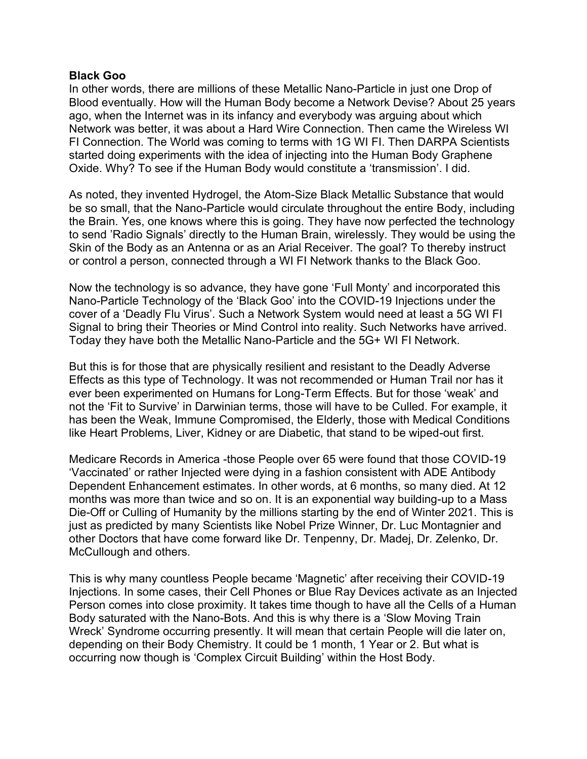#### **Black Goo**

In other words, there are millions of these Metallic Nano-Particle in just one Drop of Blood eventually. How will the Human Body become a Network Devise? About 25 years ago, when the Internet was in its infancy and everybody was arguing about which Network was better, it was about a Hard Wire Connection. Then came the Wireless WI FI Connection. The World was coming to terms with 1G WI FI. Then DARPA Scientists started doing experiments with the idea of injecting into the Human Body Graphene Oxide. Why? To see if the Human Body would constitute a 'transmission'. I did.

As noted, they invented Hydrogel, the Atom-Size Black Metallic Substance that would be so small, that the Nano-Particle would circulate throughout the entire Body, including the Brain. Yes, one knows where this is going. They have now perfected the technology to send 'Radio Signals' directly to the Human Brain, wirelessly. They would be using the Skin of the Body as an Antenna or as an Arial Receiver. The goal? To thereby instruct or control a person, connected through a WI FI Network thanks to the Black Goo.

Now the technology is so advance, they have gone 'Full Monty' and incorporated this Nano-Particle Technology of the 'Black Goo' into the COVID-19 Injections under the cover of a 'Deadly Flu Virus'. Such a Network System would need at least a 5G WI FI Signal to bring their Theories or Mind Control into reality. Such Networks have arrived. Today they have both the Metallic Nano-Particle and the 5G+ WI FI Network.

But this is for those that are physically resilient and resistant to the Deadly Adverse Effects as this type of Technology. It was not recommended or Human Trail nor has it ever been experimented on Humans for Long-Term Effects. But for those 'weak' and not the 'Fit to Survive' in Darwinian terms, those will have to be Culled. For example, it has been the Weak, Immune Compromised, the Elderly, those with Medical Conditions like Heart Problems, Liver, Kidney or are Diabetic, that stand to be wiped-out first.

Medicare Records in America -those People over 65 were found that those COVID-19 'Vaccinated' or rather Injected were dying in a fashion consistent with ADE Antibody Dependent Enhancement estimates. In other words, at 6 months, so many died. At 12 months was more than twice and so on. It is an exponential way building-up to a Mass Die-Off or Culling of Humanity by the millions starting by the end of Winter 2021. This is just as predicted by many Scientists like Nobel Prize Winner, Dr. Luc Montagnier and other Doctors that have come forward like Dr. Tenpenny, Dr. Madej, Dr. Zelenko, Dr. McCullough and others.

This is why many countless People became 'Magnetic' after receiving their COVID-19 Injections. In some cases, their Cell Phones or Blue Ray Devices activate as an Injected Person comes into close proximity. It takes time though to have all the Cells of a Human Body saturated with the Nano-Bots. And this is why there is a 'Slow Moving Train Wreck' Syndrome occurring presently. It will mean that certain People will die later on, depending on their Body Chemistry. It could be 1 month, 1 Year or 2. But what is occurring now though is 'Complex Circuit Building' within the Host Body.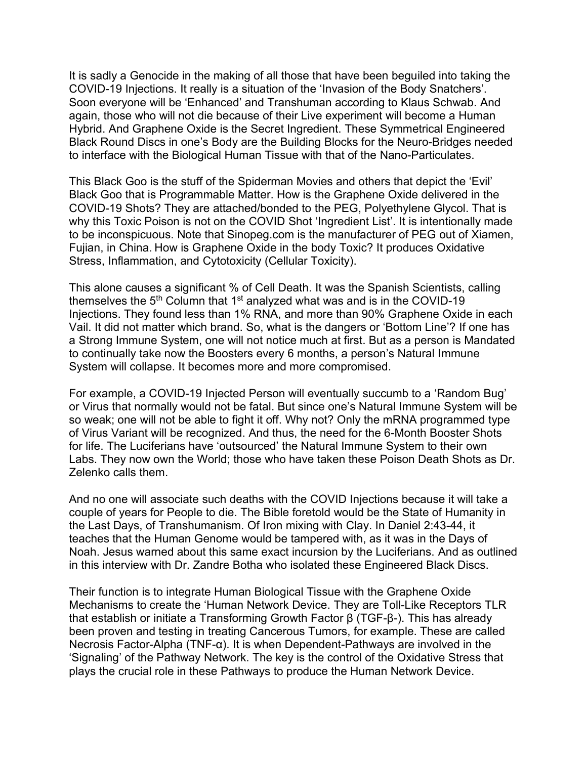It is sadly a Genocide in the making of all those that have been beguiled into taking the COVID-19 Injections. It really is a situation of the 'Invasion of the Body Snatchers'. Soon everyone will be 'Enhanced' and Transhuman according to Klaus Schwab. And again, those who will not die because of their Live experiment will become a Human Hybrid. And Graphene Oxide is the Secret Ingredient. These Symmetrical Engineered Black Round Discs in one's Body are the Building Blocks for the Neuro-Bridges needed to interface with the Biological Human Tissue with that of the Nano-Particulates.

This Black Goo is the stuff of the Spiderman Movies and others that depict the 'Evil' Black Goo that is Programmable Matter. How is the Graphene Oxide delivered in the COVID-19 Shots? They are attached/bonded to the PEG, Polyethylene Glycol. That is why this Toxic Poison is not on the COVID Shot 'Ingredient List'. It is intentionally made to be inconspicuous. Note that Sinopeg.com is the manufacturer of PEG out of Xiamen, Fujian, in China. How is Graphene Oxide in the body Toxic? It produces Oxidative Stress, Inflammation, and Cytotoxicity (Cellular Toxicity).

This alone causes a significant % of Cell Death. It was the Spanish Scientists, calling themselves the  $5<sup>th</sup>$  Column that 1<sup>st</sup> analyzed what was and is in the COVID-19 Injections. They found less than 1% RNA, and more than 90% Graphene Oxide in each Vail. It did not matter which brand. So, what is the dangers or 'Bottom Line'? If one has a Strong Immune System, one will not notice much at first. But as a person is Mandated to continually take now the Boosters every 6 months, a person's Natural Immune System will collapse. It becomes more and more compromised.

For example, a COVID-19 Injected Person will eventually succumb to a 'Random Bug' or Virus that normally would not be fatal. But since one's Natural Immune System will be so weak; one will not be able to fight it off. Why not? Only the mRNA programmed type of Virus Variant will be recognized. And thus, the need for the 6-Month Booster Shots for life. The Luciferians have 'outsourced' the Natural Immune System to their own Labs. They now own the World; those who have taken these Poison Death Shots as Dr. Zelenko calls them.

And no one will associate such deaths with the COVID Injections because it will take a couple of years for People to die. The Bible foretold would be the State of Humanity in the Last Days, of Transhumanism. Of Iron mixing with Clay. In Daniel 2:43-44, it teaches that the Human Genome would be tampered with, as it was in the Days of Noah. Jesus warned about this same exact incursion by the Luciferians. And as outlined in this interview with Dr. Zandre Botha who isolated these Engineered Black Discs.

Their function is to integrate Human Biological Tissue with the Graphene Oxide Mechanisms to create the 'Human Network Device. They are Toll-Like Receptors TLR that establish or initiate a Transforming Growth Factor β (TGF-β-). This has already been proven and testing in treating Cancerous Tumors, for example. These are called Necrosis Factor-Alpha (TNF-α). It is when Dependent-Pathways are involved in the 'Signaling' of the Pathway Network. The key is the control of the Oxidative Stress that plays the crucial role in these Pathways to produce the Human Network Device.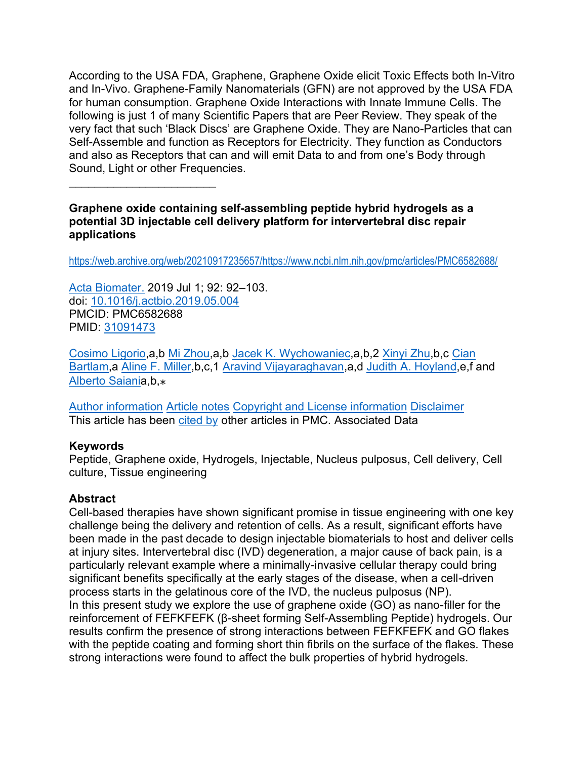According to the USA FDA, Graphene, Graphene Oxide elicit Toxic Effects both In-Vitro and In-Vivo. Graphene-Family Nanomaterials (GFN) are not approved by the USA FDA for human consumption. Graphene Oxide Interactions with Innate Immune Cells. The following is just 1 of many Scientific Papers that are Peer Review. They speak of the very fact that such 'Black Discs' are Graphene Oxide. They are Nano-Particles that can Self-Assemble and function as Receptors for Electricity. They function as Conductors and also as Receptors that can and will emit Data to and from one's Body through Sound, Light or other Frequencies.

## **Graphene oxide containing self-assembling peptide hybrid hydrogels as a potential 3D injectable cell delivery platform for intervertebral disc repair applications**

[https://web.archive.org/web/20210917235657/https://www.ncbi.nlm.nih.gov/pmc/articles/PMC6582688/](https://web.archive.org/web/20210917235657/https:/www.ncbi.nlm.nih.gov/pmc/articles/PMC6582688/)

[Acta Biomater.](https://web.archive.org/web/20210917235657/https:/www.ncbi.nlm.nih.gov/pmc/articles/PMC6582688/) 2019 Jul 1; 92: 92–103. doi: [10.1016/j.actbio.2019.05.004](https://web.archive.org/web/20210917235657/https:/dx.doi.org/10.1016%2Fj.actbio.2019.05.004) PMCID: PMC6582688 PMID: [31091473](https://web.archive.org/web/20210917235657/https:/www.ncbi.nlm.nih.gov/pubmed/31091473)

 $\mathcal{L}_\text{max}$  , where  $\mathcal{L}_\text{max}$  , we have the set of the set of the set of the set of the set of the set of the set of the set of the set of the set of the set of the set of the set of the set of the set of the set of

[Cosimo Ligorio,](https://web.archive.org/web/20210917235657/https:/www.ncbi.nlm.nih.gov/pubmed/?term=Ligorio%20C%5BAuthor%5D&cauthor=true&cauthor_uid=31091473)a,b [Mi Zhou,](https://web.archive.org/web/20210917235657/https:/www.ncbi.nlm.nih.gov/pubmed/?term=Zhou%20M%5BAuthor%5D&cauthor=true&cauthor_uid=31091473)a,b [Jacek K. Wychowaniec,](https://web.archive.org/web/20210917235657/https:/www.ncbi.nlm.nih.gov/pubmed/?term=Wychowaniec%20JK%5BAuthor%5D&cauthor=true&cauthor_uid=31091473)a,b,2 [Xinyi Zhu,](https://web.archive.org/web/20210917235657/https:/www.ncbi.nlm.nih.gov/pubmed/?term=Zhu%20X%5BAuthor%5D&cauthor=true&cauthor_uid=31091473)b,c [Cian](https://web.archive.org/web/20210917235657/https:/www.ncbi.nlm.nih.gov/pubmed/?term=Bartlam%20C%5BAuthor%5D&cauthor=true&cauthor_uid=31091473)  [Bartlam,](https://web.archive.org/web/20210917235657/https:/www.ncbi.nlm.nih.gov/pubmed/?term=Bartlam%20C%5BAuthor%5D&cauthor=true&cauthor_uid=31091473)a [Aline F. Miller,](https://web.archive.org/web/20210917235657/https:/www.ncbi.nlm.nih.gov/pubmed/?term=Miller%20AF%5BAuthor%5D&cauthor=true&cauthor_uid=31091473)b,c,1 [Aravind Vijayaraghavan,](https://web.archive.org/web/20210917235657/https:/www.ncbi.nlm.nih.gov/pubmed/?term=Vijayaraghavan%20A%5BAuthor%5D&cauthor=true&cauthor_uid=31091473)a,d [Judith A. Hoyland,](https://web.archive.org/web/20210917235657/https:/www.ncbi.nlm.nih.gov/pubmed/?term=Hoyland%20JA%5BAuthor%5D&cauthor=true&cauthor_uid=31091473)e,f and [Alberto Saiania](https://web.archive.org/web/20210917235657/https:/www.ncbi.nlm.nih.gov/pubmed/?term=Saiani%20A%5BAuthor%5D&cauthor=true&cauthor_uid=31091473), b,  $*$ 

[Author information](https://web.archive.org/web/20210917235657/https:/www.ncbi.nlm.nih.gov/pmc/articles/PMC6582688/) [Article notes](https://web.archive.org/web/20210917235657/https:/www.ncbi.nlm.nih.gov/pmc/articles/PMC6582688/) [Copyright and License information](https://web.archive.org/web/20210917235657/https:/www.ncbi.nlm.nih.gov/pmc/articles/PMC6582688/) [Disclaimer](https://web.archive.org/web/20210917235657/https:/www.ncbi.nlm.nih.gov/pmc/about/disclaimer/) This article has been [cited by](https://web.archive.org/web/20210917235657/https:/www.ncbi.nlm.nih.gov/pmc/articles/PMC6582688/citedby/) other articles in PMC. Associated Data

## **Keywords**

Peptide, Graphene oxide, Hydrogels, Injectable, Nucleus pulposus, Cell delivery, Cell culture, Tissue engineering

## **Abstract**

Cell-based therapies have shown significant promise in tissue engineering with one key challenge being the delivery and retention of cells. As a result, significant efforts have been made in the past decade to design injectable biomaterials to host and deliver cells at injury sites. Intervertebral disc (IVD) degeneration, a major cause of back pain, is a particularly relevant example where a minimally-invasive cellular therapy could bring significant benefits specifically at the early stages of the disease, when a cell-driven process starts in the gelatinous core of the IVD, the nucleus pulposus (NP). In this present study we explore the use of graphene oxide (GO) as nano-filler for the reinforcement of FEFKFEFK (β-sheet forming Self-Assembling Peptide) hydrogels. Our results confirm the presence of strong interactions between FEFKFEFK and GO flakes with the peptide coating and forming short thin fibrils on the surface of the flakes. These strong interactions were found to affect the bulk properties of hybrid hydrogels.